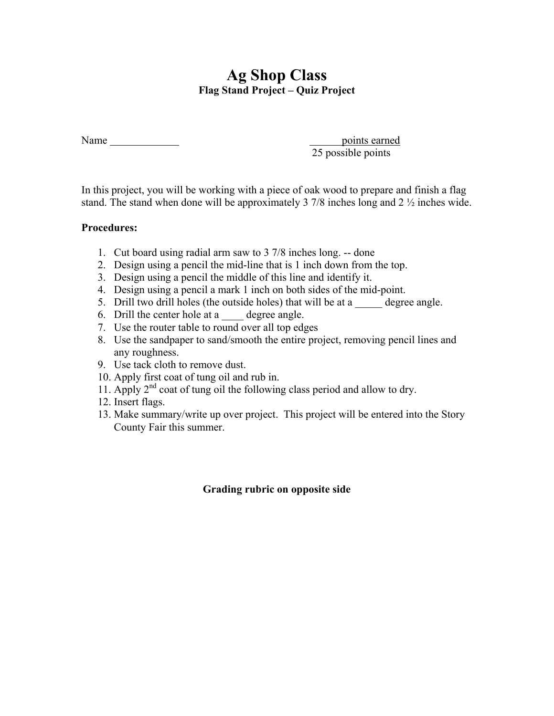## **Ag Shop Class Flag Stand Project – Quiz Project**

| Name | points earned |
|------|---------------|
|      |               |

25 possible points

In this project, you will be working with a piece of oak wood to prepare and finish a flag stand. The stand when done will be approximately 3 7/8 inches long and 2 ½ inches wide.

## **Procedures:**

- 1. Cut board using radial arm saw to 3 7/8 inches long. -- done
- 2. Design using a pencil the mid-line that is 1 inch down from the top.
- 3. Design using a pencil the middle of this line and identify it.
- 4. Design using a pencil a mark 1 inch on both sides of the mid-point.
- 5. Drill two drill holes (the outside holes) that will be at a \_\_\_\_\_\_ degree angle.
- 6. Drill the center hole at a degree angle.
- 7. Use the router table to round over all top edges
- 8. Use the sandpaper to sand/smooth the entire project, removing pencil lines and any roughness.
- 9. Use tack cloth to remove dust.
- 10. Apply first coat of tung oil and rub in.
- 11. Apply  $2^{nd}$  coat of tung oil the following class period and allow to dry.
- 12. Insert flags.
- 13. Make summary/write up over project. This project will be entered into the Story County Fair this summer.

## **Grading rubric on opposite side**